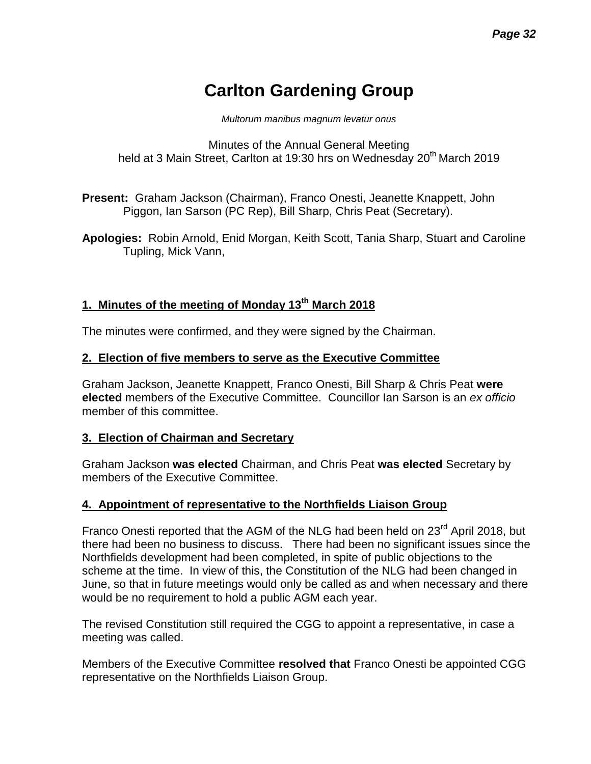# **Carlton Gardening Group**

*Multorum manibus magnum levatur onus*

Minutes of the Annual General Meeting held at 3 Main Street, Carlton at 19:30 hrs on Wednesday 20<sup>th</sup> March 2019

**Present:** Graham Jackson (Chairman), Franco Onesti, Jeanette Knappett, John Piggon, Ian Sarson (PC Rep), Bill Sharp, Chris Peat (Secretary).

**Apologies:** Robin Arnold, Enid Morgan, Keith Scott, Tania Sharp, Stuart and Caroline Tupling, Mick Vann,

# **1. Minutes of the meeting of Monday 13th March 2018**

The minutes were confirmed, and they were signed by the Chairman.

#### **2. Election of five members to serve as the Executive Committee**

Graham Jackson, Jeanette Knappett, Franco Onesti, Bill Sharp & Chris Peat **were elected** members of the Executive Committee. Councillor Ian Sarson is an *ex officio*  member of this committee.

#### **3. Election of Chairman and Secretary**

Graham Jackson **was elected** Chairman, and Chris Peat **was elected** Secretary by members of the Executive Committee.

# **4. Appointment of representative to the Northfields Liaison Group**

Franco Onesti reported that the AGM of the NLG had been held on 23<sup>rd</sup> April 2018, but there had been no business to discuss. There had been no significant issues since the Northfields development had been completed, in spite of public objections to the scheme at the time. In view of this, the Constitution of the NLG had been changed in June, so that in future meetings would only be called as and when necessary and there would be no requirement to hold a public AGM each year.

The revised Constitution still required the CGG to appoint a representative, in case a meeting was called.

Members of the Executive Committee **resolved that** Franco Onesti be appointed CGG representative on the Northfields Liaison Group.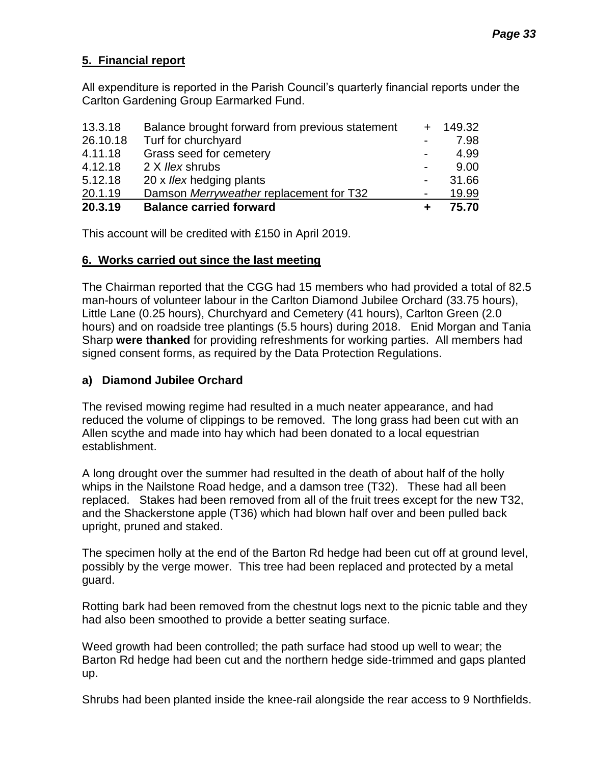# **5. Financial report**

All expenditure is reported in the Parish Council's quarterly financial reports under the Carlton Gardening Group Earmarked Fund.

| 20.3.19  | <b>Balance carried forward</b>                  | ٠                        | 75.70      |
|----------|-------------------------------------------------|--------------------------|------------|
| 20.1.19  | Damson Merryweather replacement for T32         | $\overline{\phantom{a}}$ | 19.99      |
| 5.12.18  | 20 x <i>llex</i> hedging plants                 | ÷,                       | 31.66      |
| 4.12.18  | 2 X llex shrubs                                 | $\blacksquare$           | 9.00       |
| 4.11.18  | Grass seed for cemetery                         | $\overline{\phantom{a}}$ | 4.99       |
| 26.10.18 | Turf for churchyard                             | $\sim$                   | 7.98       |
| 13.3.18  | Balance brought forward from previous statement |                          | $+ 149.32$ |

This account will be credited with £150 in April 2019.

#### **6. Works carried out since the last meeting**

The Chairman reported that the CGG had 15 members who had provided a total of 82.5 man-hours of volunteer labour in the Carlton Diamond Jubilee Orchard (33.75 hours), Little Lane (0.25 hours), Churchyard and Cemetery (41 hours), Carlton Green (2.0 hours) and on roadside tree plantings (5.5 hours) during 2018. Enid Morgan and Tania Sharp **were thanked** for providing refreshments for working parties. All members had signed consent forms, as required by the Data Protection Regulations.

### **a) Diamond Jubilee Orchard**

The revised mowing regime had resulted in a much neater appearance, and had reduced the volume of clippings to be removed. The long grass had been cut with an Allen scythe and made into hay which had been donated to a local equestrian establishment.

A long drought over the summer had resulted in the death of about half of the holly whips in the Nailstone Road hedge, and a damson tree (T32). These had all been replaced. Stakes had been removed from all of the fruit trees except for the new T32, and the Shackerstone apple (T36) which had blown half over and been pulled back upright, pruned and staked.

The specimen holly at the end of the Barton Rd hedge had been cut off at ground level, possibly by the verge mower. This tree had been replaced and protected by a metal guard.

Rotting bark had been removed from the chestnut logs next to the picnic table and they had also been smoothed to provide a better seating surface.

Weed growth had been controlled; the path surface had stood up well to wear; the Barton Rd hedge had been cut and the northern hedge side-trimmed and gaps planted up.

Shrubs had been planted inside the knee-rail alongside the rear access to 9 Northfields.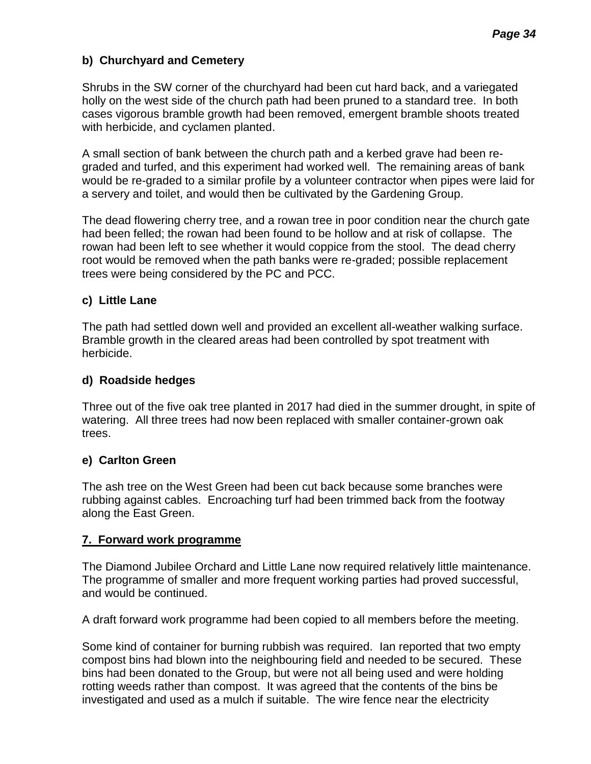# **b) Churchyard and Cemetery**

Shrubs in the SW corner of the churchyard had been cut hard back, and a variegated holly on the west side of the church path had been pruned to a standard tree. In both cases vigorous bramble growth had been removed, emergent bramble shoots treated with herbicide, and cyclamen planted.

A small section of bank between the church path and a kerbed grave had been regraded and turfed, and this experiment had worked well. The remaining areas of bank would be re-graded to a similar profile by a volunteer contractor when pipes were laid for a servery and toilet, and would then be cultivated by the Gardening Group.

The dead flowering cherry tree, and a rowan tree in poor condition near the church gate had been felled; the rowan had been found to be hollow and at risk of collapse. The rowan had been left to see whether it would coppice from the stool. The dead cherry root would be removed when the path banks were re-graded; possible replacement trees were being considered by the PC and PCC.

# **c) Little Lane**

The path had settled down well and provided an excellent all-weather walking surface. Bramble growth in the cleared areas had been controlled by spot treatment with herbicide.

#### **d) Roadside hedges**

Three out of the five oak tree planted in 2017 had died in the summer drought, in spite of watering. All three trees had now been replaced with smaller container-grown oak trees.

#### **e) Carlton Green**

The ash tree on the West Green had been cut back because some branches were rubbing against cables. Encroaching turf had been trimmed back from the footway along the East Green.

#### **7. Forward work programme**

The Diamond Jubilee Orchard and Little Lane now required relatively little maintenance. The programme of smaller and more frequent working parties had proved successful, and would be continued.

A draft forward work programme had been copied to all members before the meeting.

Some kind of container for burning rubbish was required. Ian reported that two empty compost bins had blown into the neighbouring field and needed to be secured. These bins had been donated to the Group, but were not all being used and were holding rotting weeds rather than compost. It was agreed that the contents of the bins be investigated and used as a mulch if suitable. The wire fence near the electricity